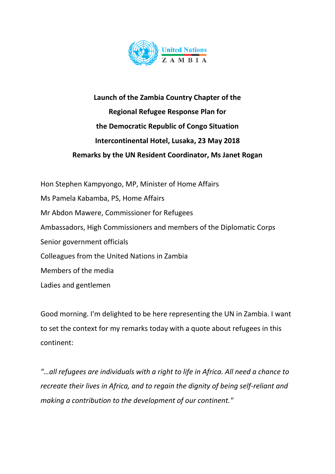

## **Launch of the Zambia Country Chapter of the Regional Refugee Response Plan for the Democratic Republic of Congo Situation Intercontinental Hotel, Lusaka, 23 May 2018 Remarks by the UN Resident Coordinator, Ms Janet Rogan**

Hon Stephen Kampyongo, MP, Minister of Home Affairs Ms Pamela Kabamba, PS, Home Affairs Mr Abdon Mawere, Commissioner for Refugees Ambassadors, High Commissioners and members of the Diplomatic Corps Senior government officials Colleagues from the United Nations in Zambia Members of the media Ladies and gentlemen

Good morning. I'm delighted to be here representing the UN in Zambia. I want to set the context for my remarks today with a quote about refugees in this continent:

*"…all refugees are individuals with a right to life in Africa. All need a chance to recreate their lives in Africa, and to regain the dignity of being self-reliant and making a contribution to the development of our continent."*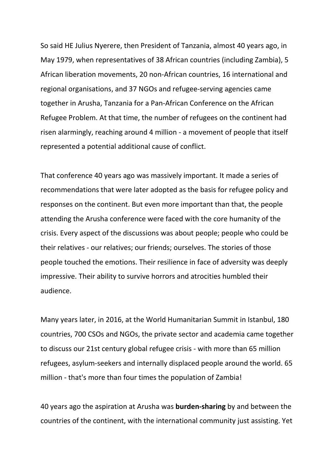So said HE Julius Nyerere, then President of Tanzania, almost 40 years ago, in May 1979, when representatives of 38 African countries (including Zambia), 5 African liberation movements, 20 non-African countries, 16 international and regional organisations, and 37 NGOs and refugee-serving agencies came together in Arusha, Tanzania for a Pan-African Conference on the African Refugee Problem. At that time, the number of refugees on the continent had risen alarmingly, reaching around 4 million - a movement of people that itself represented a potential additional cause of conflict.

That conference 40 years ago was massively important. It made a series of recommendations that were later adopted as the basis for refugee policy and responses on the continent. But even more important than that, the people attending the Arusha conference were faced with the core humanity of the crisis. Every aspect of the discussions was about people; people who could be their relatives - our relatives; our friends; ourselves. The stories of those people touched the emotions. Their resilience in face of adversity was deeply impressive. Their ability to survive horrors and atrocities humbled their audience.

Many years later, in 2016, at the World Humanitarian Summit in Istanbul, 180 countries, 700 CSOs and NGOs, the private sector and academia came together to discuss our 21st century global refugee crisis - with more than 65 million refugees, asylum-seekers and internally displaced people around the world. 65 million - that's more than four times the population of Zambia!

40 years ago the aspiration at Arusha was **burden-sharing** by and between the countries of the continent, with the international community just assisting. Yet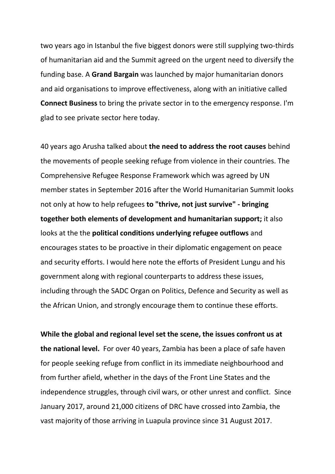two years ago in Istanbul the five biggest donors were still supplying two-thirds of humanitarian aid and the Summit agreed on the urgent need to diversify the funding base. A **Grand Bargain** was launched by major humanitarian donors and aid organisations to improve effectiveness, along with an initiative called **Connect Business** to bring the private sector in to the emergency response. I'm glad to see private sector here today.

40 years ago Arusha talked about **the need to address the root causes** behind the movements of people seeking refuge from violence in their countries. The Comprehensive Refugee Response Framework which was agreed by UN member states in September 2016 after the World Humanitarian Summit looks not only at how to help refugees **to "thrive, not just survive" - bringing together both elements of development and humanitarian support;** it also looks at the the **political conditions underlying refugee outflows** and encourages states to be proactive in their diplomatic engagement on peace and security efforts. I would here note the efforts of President Lungu and his government along with regional counterparts to address these issues, including through the SADC Organ on Politics, Defence and Security as well as the African Union, and strongly encourage them to continue these efforts.

**While the global and regional level set the scene, the issues confront us at the national level.** For over 40 years, Zambia has been a place of safe haven for people seeking refuge from conflict in its immediate neighbourhood and from further afield, whether in the days of the Front Line States and the independence struggles, through civil wars, or other unrest and conflict. Since January 2017, around 21,000 citizens of DRC have crossed into Zambia, the vast majority of those arriving in Luapula province since 31 August 2017.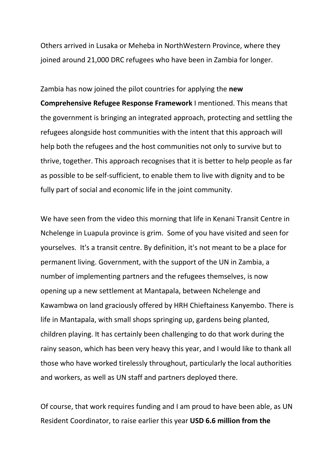Others arrived in Lusaka or Meheba in NorthWestern Province, where they joined around 21,000 DRC refugees who have been in Zambia for longer.

Zambia has now joined the pilot countries for applying the **new Comprehensive Refugee Response Framework** I mentioned. This means that the government is bringing an integrated approach, protecting and settling the refugees alongside host communities with the intent that this approach will help both the refugees and the host communities not only to survive but to thrive, together. This approach recognises that it is better to help people as far as possible to be self-sufficient, to enable them to live with dignity and to be fully part of social and economic life in the joint community.

We have seen from the video this morning that life in Kenani Transit Centre in Nchelenge in Luapula province is grim. Some of you have visited and seen for yourselves. It's a transit centre. By definition, it's not meant to be a place for permanent living. Government, with the support of the UN in Zambia, a number of implementing partners and the refugees themselves, is now opening up a new settlement at Mantapala, between Nchelenge and Kawambwa on land graciously offered by HRH Chieftainess Kanyembo. There is life in Mantapala, with small shops springing up, gardens being planted, children playing. It has certainly been challenging to do that work during the rainy season, which has been very heavy this year, and I would like to thank all those who have worked tirelessly throughout, particularly the local authorities and workers, as well as UN staff and partners deployed there.

Of course, that work requires funding and I am proud to have been able, as UN Resident Coordinator, to raise earlier this year **USD 6.6 million from the**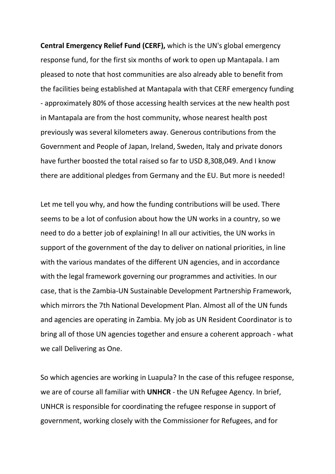**Central Emergency Relief Fund (CERF),** which is the UN's global emergency response fund, for the first six months of work to open up Mantapala. I am pleased to note that host communities are also already able to benefit from the facilities being established at Mantapala with that CERF emergency funding - approximately 80% of those accessing health services at the new health post in Mantapala are from the host community, whose nearest health post previously was several kilometers away. Generous contributions from the Government and People of Japan, Ireland, Sweden, Italy and private donors have further boosted the total raised so far to USD 8,308,049. And I know there are additional pledges from Germany and the EU. But more is needed!

Let me tell you why, and how the funding contributions will be used. There seems to be a lot of confusion about how the UN works in a country, so we need to do a better job of explaining! In all our activities, the UN works in support of the government of the day to deliver on national priorities, in line with the various mandates of the different UN agencies, and in accordance with the legal framework governing our programmes and activities. In our case, that is the Zambia-UN Sustainable Development Partnership Framework, which mirrors the 7th National Development Plan. Almost all of the UN funds and agencies are operating in Zambia. My job as UN Resident Coordinator is to bring all of those UN agencies together and ensure a coherent approach - what we call Delivering as One.

So which agencies are working in Luapula? In the case of this refugee response, we are of course all familiar with **UNHCR** - the UN Refugee Agency. In brief, UNHCR is responsible for coordinating the refugee response in support of government, working closely with the Commissioner for Refugees, and for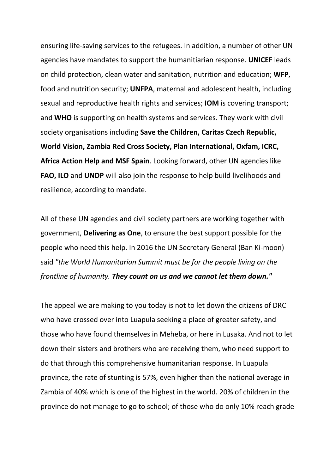ensuring life-saving services to the refugees. In addition, a number of other UN agencies have mandates to support the humanitiarian response. **UNICEF** leads on child protection, clean water and sanitation, nutrition and education; **WFP**, food and nutrition security; **UNFPA**, maternal and adolescent health, including sexual and reproductive health rights and services; **IOM** is covering transport; and **WHO** is supporting on health systems and services. They work with civil society organisations including **Save the Children, Caritas Czech Republic, World Vision, Zambia Red Cross Society, Plan International, Oxfam, ICRC, Africa Action Help and MSF Spain**. Looking forward, other UN agencies like **FAO, ILO** and **UNDP** will also join the response to help build livelihoods and resilience, according to mandate.

All of these UN agencies and civil society partners are working together with government, **Delivering as One**, to ensure the best support possible for the people who need this help. In 2016 the UN Secretary General (Ban Ki-moon) said *"the World Humanitarian Summit must be for the people living on the frontline of humanity. They count on us and we cannot let them down."*

The appeal we are making to you today is not to let down the citizens of DRC who have crossed over into Luapula seeking a place of greater safety, and those who have found themselves in Meheba, or here in Lusaka. And not to let down their sisters and brothers who are receiving them, who need support to do that through this comprehensive humanitarian response. In Luapula province, the rate of stunting is 57%, even higher than the national average in Zambia of 40% which is one of the highest in the world. 20% of children in the province do not manage to go to school; of those who do only 10% reach grade